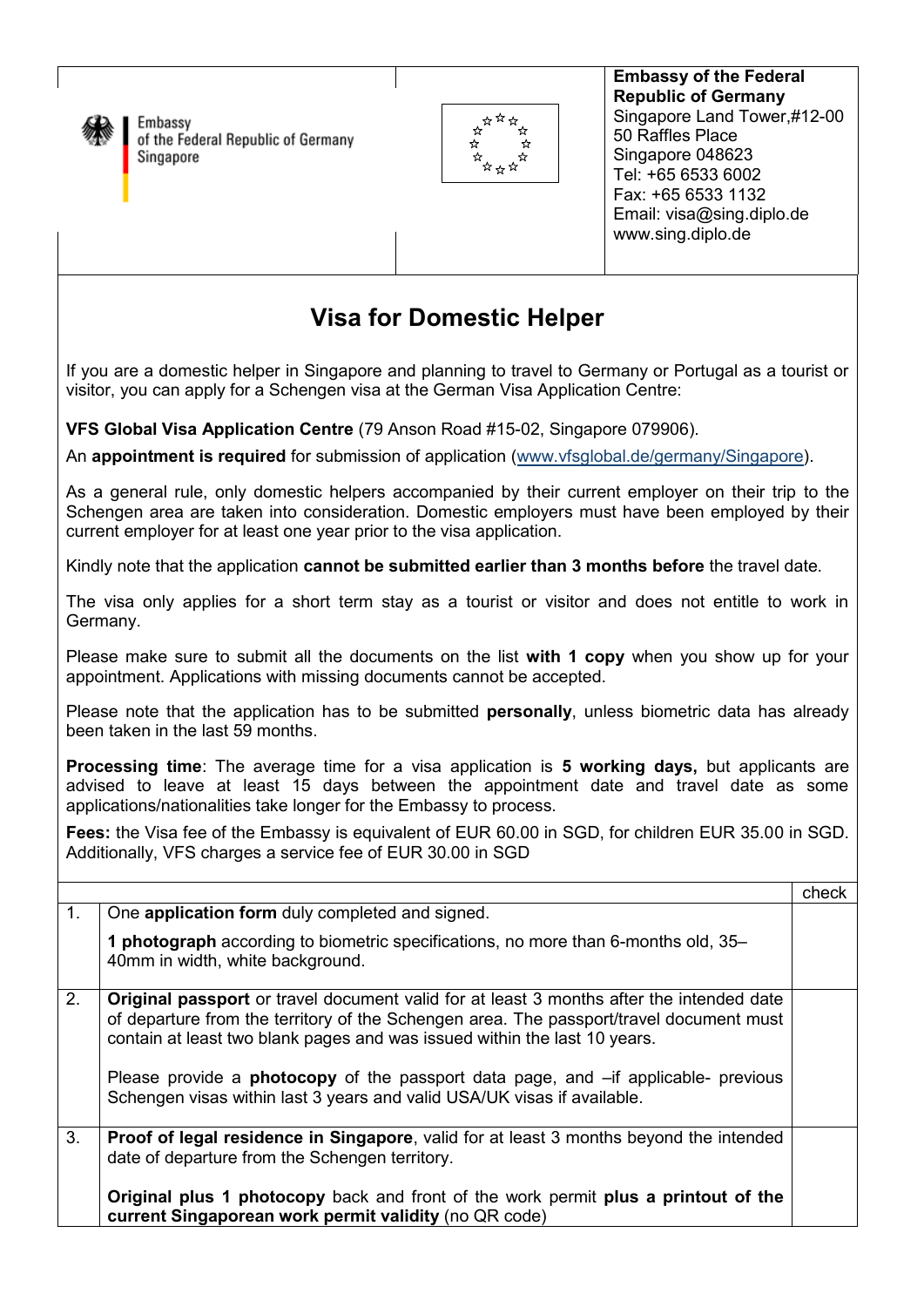

Embassy of the Federal Republic of Germany Singapore



**Embassy of the Federal Republic of Germany**  Singapore Land Tower,#12-00 50 Raffles Place Singapore 048623 Tel: +65 6533 6002 Fax: +65 6533 1132 Email: visa@sing.diplo.de www.sing.diplo.de

## **Visa for Domestic Helper**

If you are a domestic helper in Singapore and planning to travel to Germany or Portugal as a tourist or visitor, you can apply for a Schengen visa at the German Visa Application Centre:

**VFS Global Visa Application Centre** (79 Anson Road #15-02, Singapore 079906).

An **appointment is required** for submission of application (www.vfsglobal.de/germany/Singapore).

As a general rule, only domestic helpers accompanied by their current employer on their trip to the Schengen area are taken into consideration. Domestic employers must have been employed by their current employer for at least one year prior to the visa application.

Kindly note that the application **cannot be submitted earlier than 3 months before** the travel date.

The visa only applies for a short term stay as a tourist or visitor and does not entitle to work in Germany.

Please make sure to submit all the documents on the list **with 1 copy** when you show up for your appointment. Applications with missing documents cannot be accepted.

Please note that the application has to be submitted **personally**, unless biometric data has already been taken in the last 59 months.

**Processing time**: The average time for a visa application is **5 working days,** but applicants are advised to leave at least 15 days between the appointment date and travel date as some applications/nationalities take longer for the Embassy to process.

**Fees:** the Visa fee of the Embassy is equivalent of EUR 60.00 in SGD, for children EUR 35.00 in SGD. Additionally, VFS charges a service fee of EUR 30.00 in SGD

|                |                                                                                                                                                                                                                                                                                                                                                                                                                                                    | check |
|----------------|----------------------------------------------------------------------------------------------------------------------------------------------------------------------------------------------------------------------------------------------------------------------------------------------------------------------------------------------------------------------------------------------------------------------------------------------------|-------|
| 1.             | One application form duly completed and signed.                                                                                                                                                                                                                                                                                                                                                                                                    |       |
|                | 1 photograph according to biometric specifications, no more than 6-months old, 35-<br>40mm in width, white background.                                                                                                                                                                                                                                                                                                                             |       |
| 2.             | <b>Original passport</b> or travel document valid for at least 3 months after the intended date<br>of departure from the territory of the Schengen area. The passport/travel document must<br>contain at least two blank pages and was issued within the last 10 years.<br>Please provide a <b>photocopy</b> of the passport data page, and $-$ if applicable- previous<br>Schengen visas within last 3 years and valid USA/UK visas if available. |       |
| 3 <sub>1</sub> | Proof of legal residence in Singapore, valid for at least 3 months beyond the intended<br>date of departure from the Schengen territory.<br><b>Original plus 1 photocopy</b> back and front of the work permit <b>plus a printout of the</b><br>current Singaporean work permit validity (no QR code)                                                                                                                                              |       |